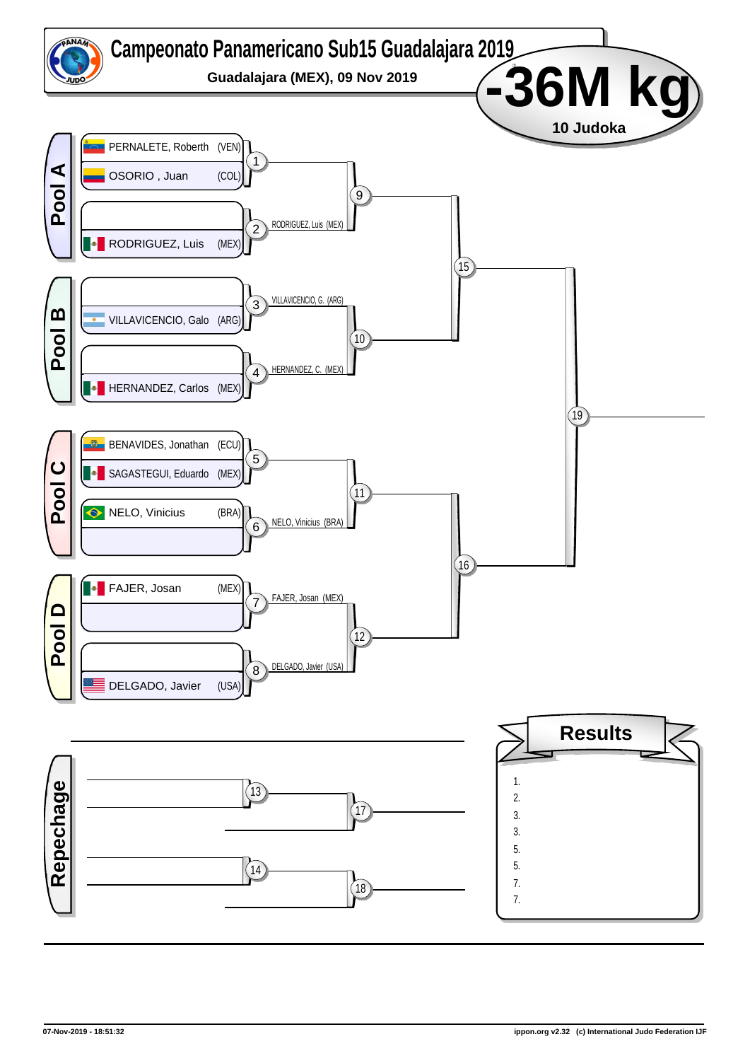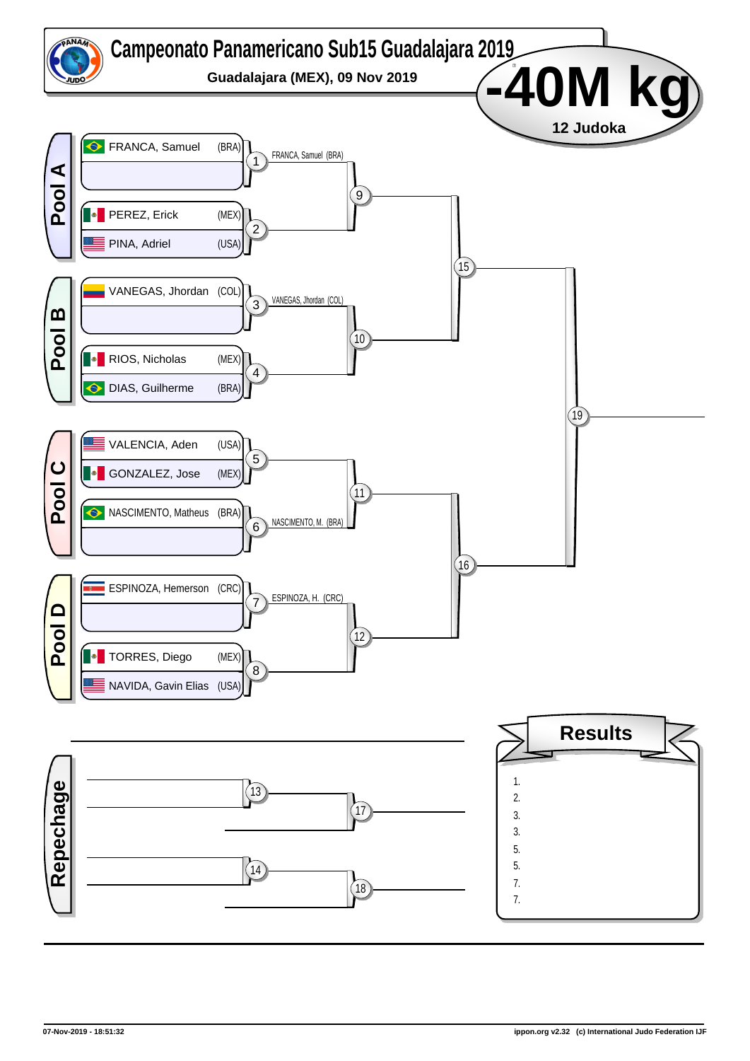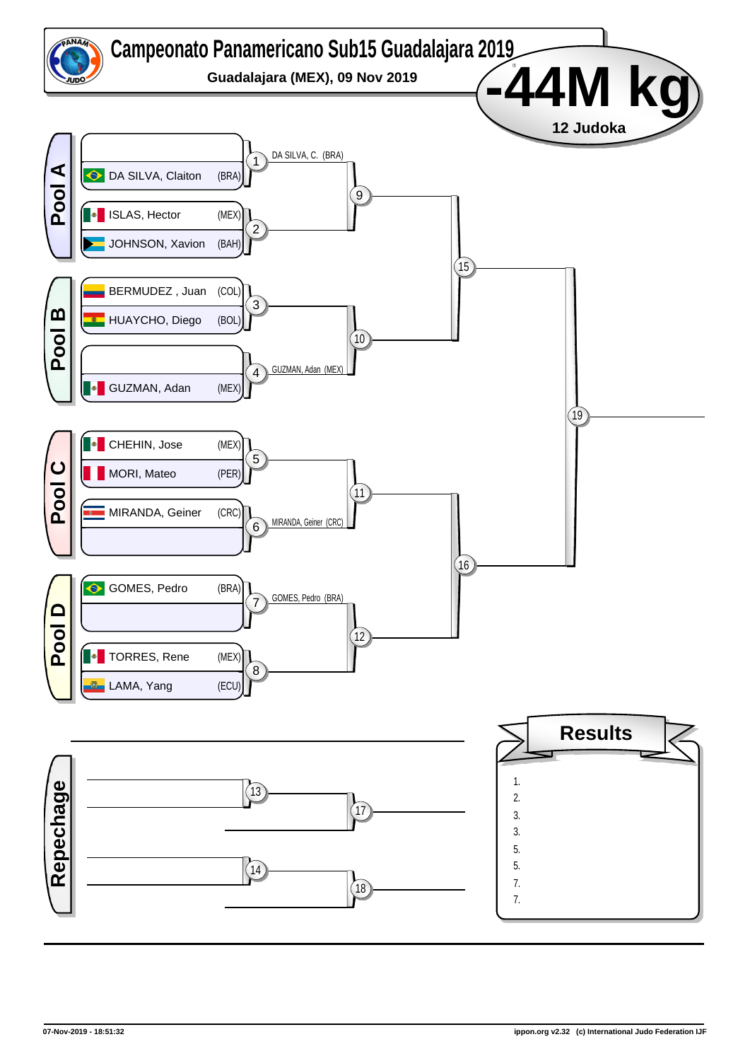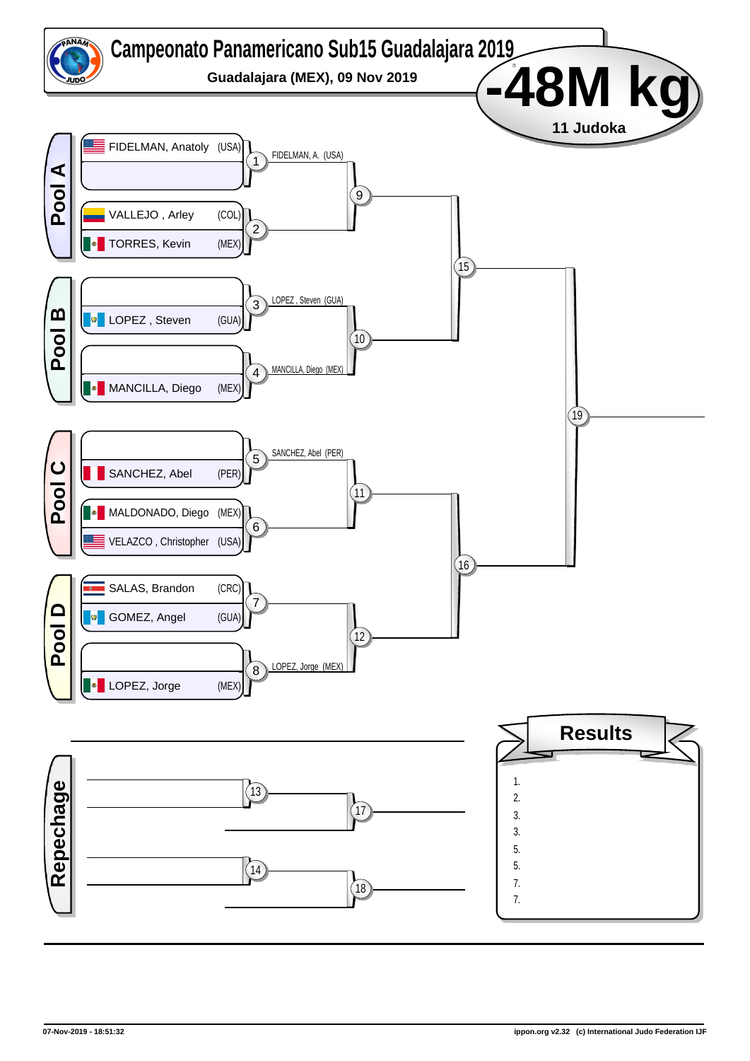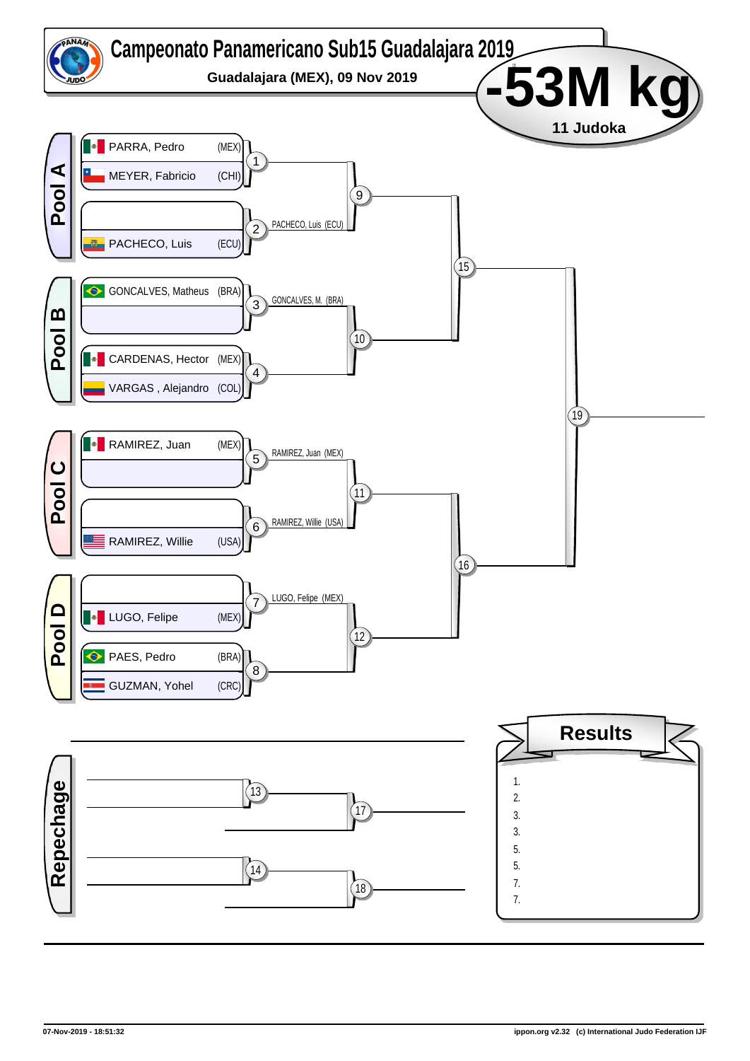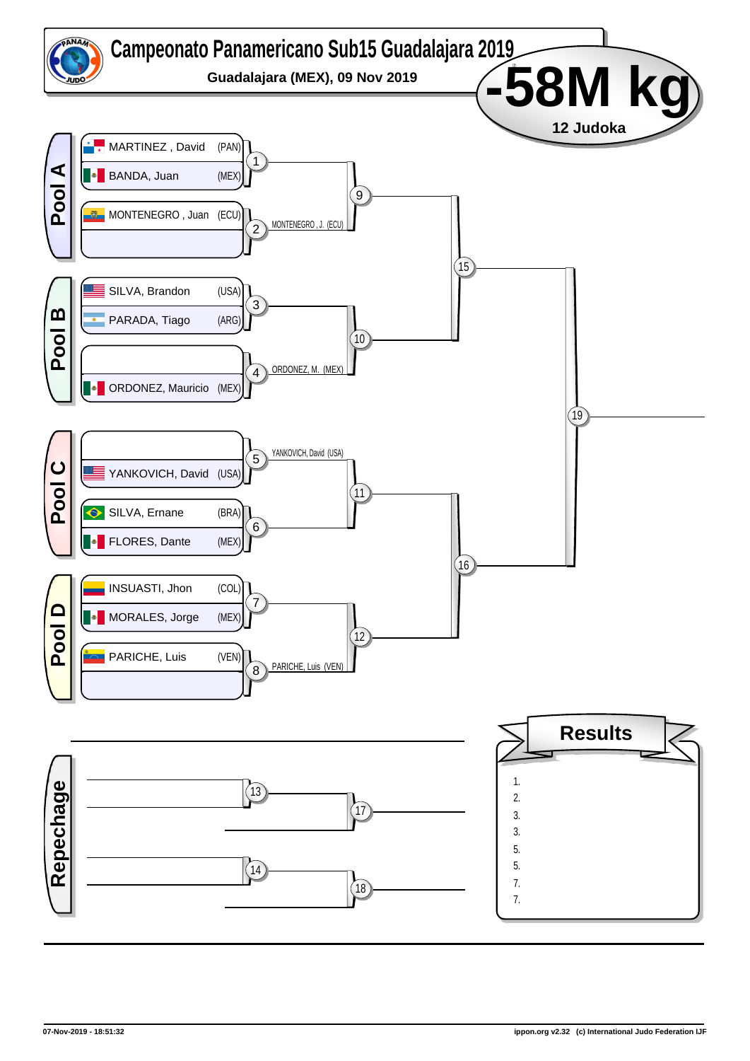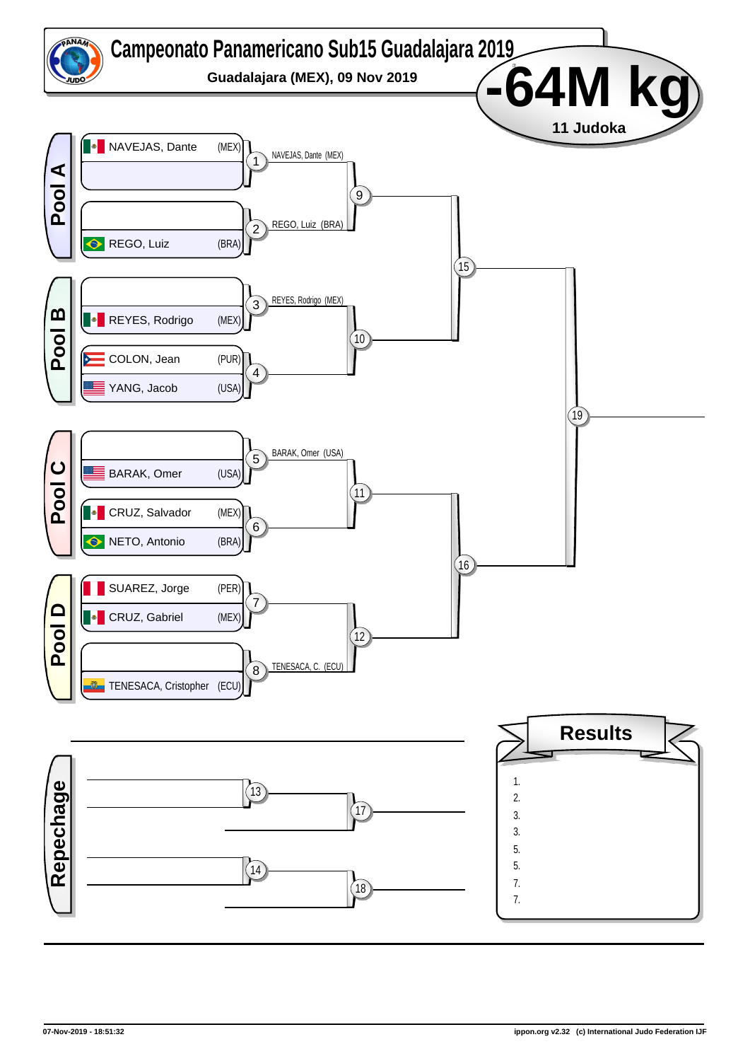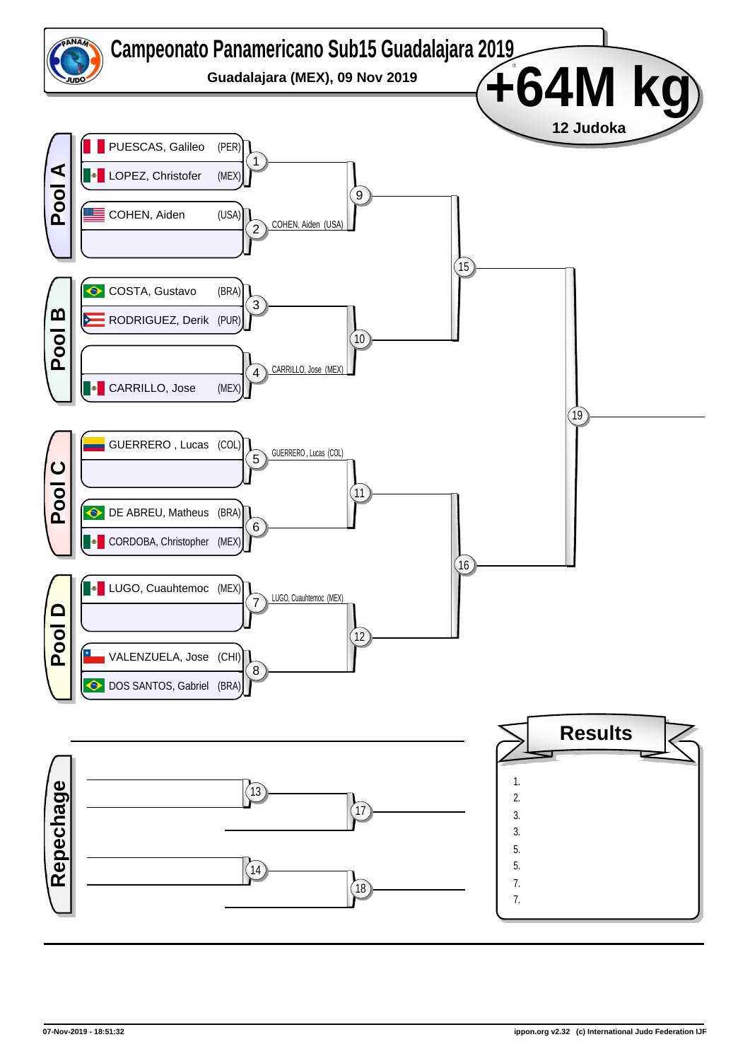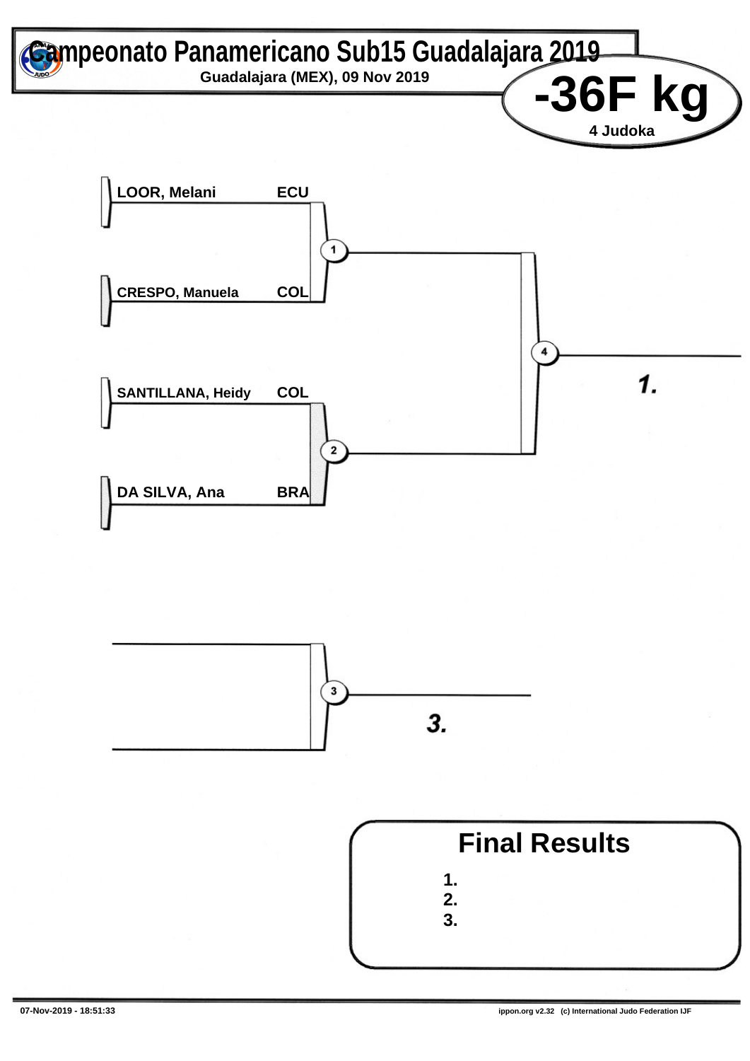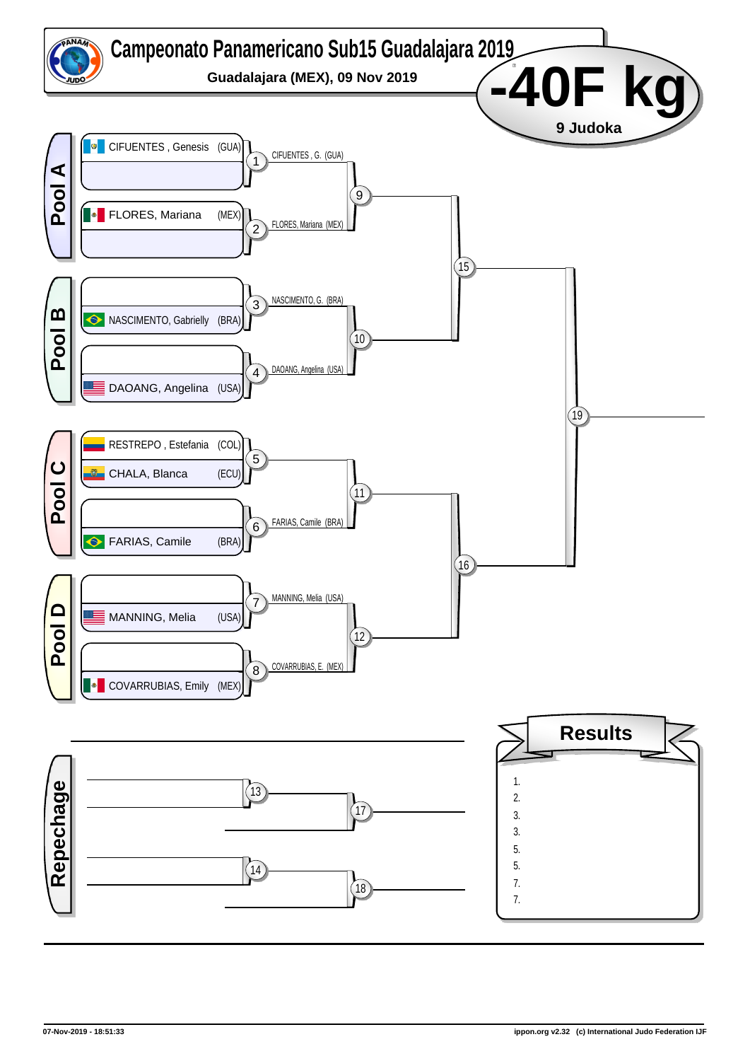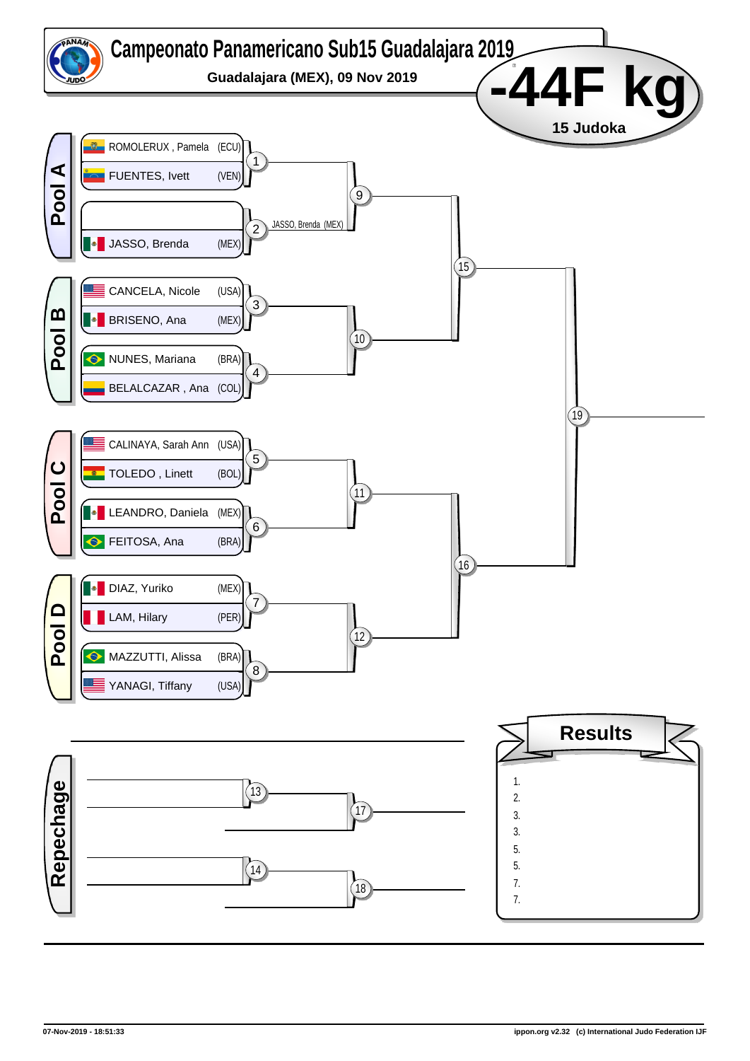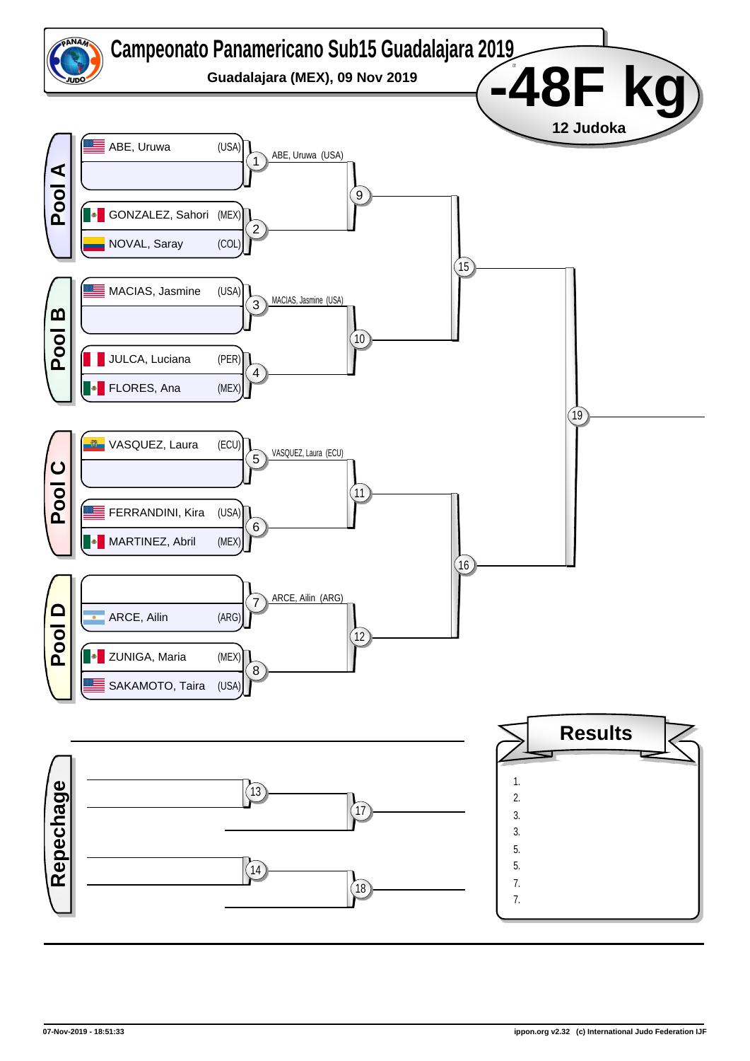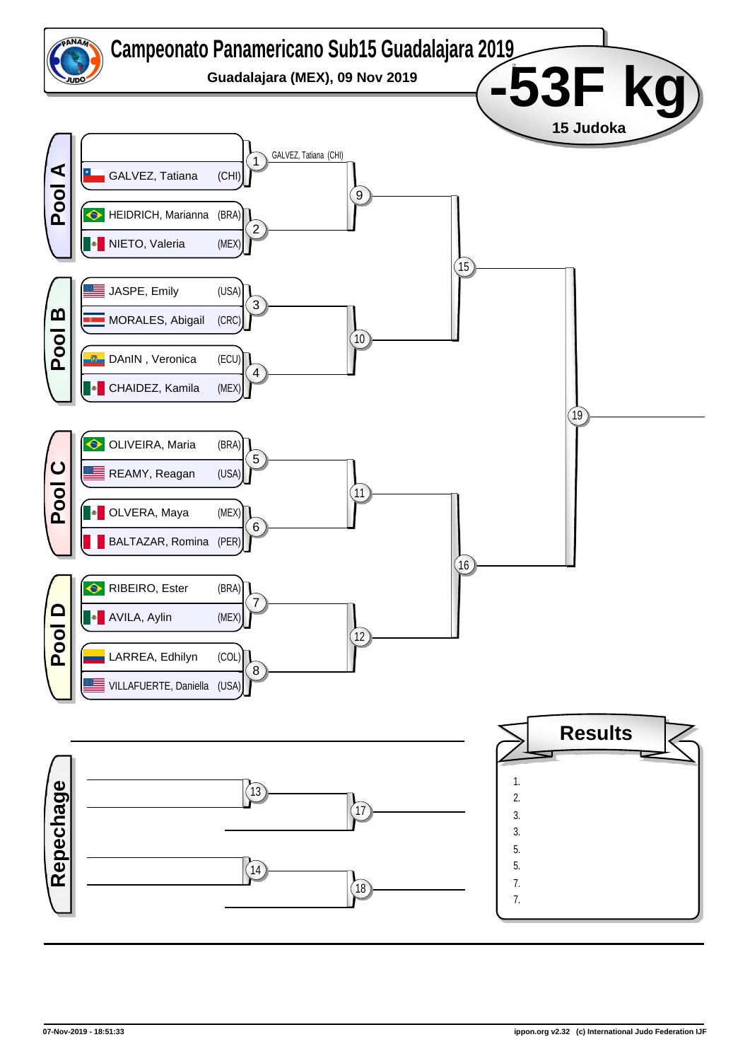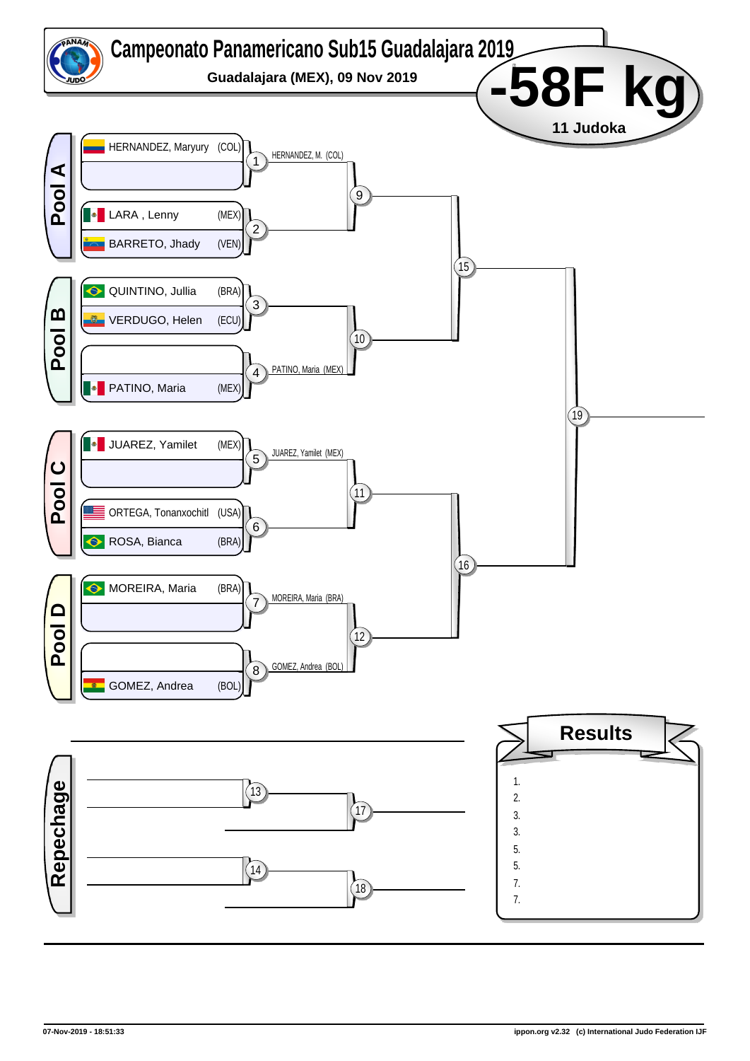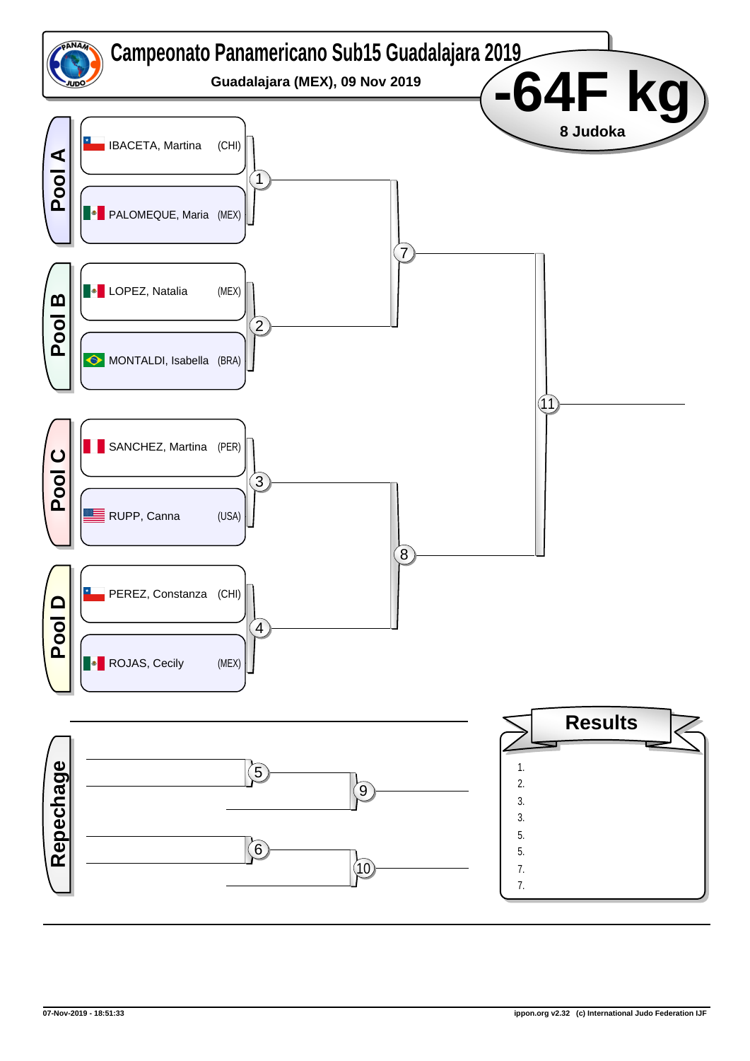